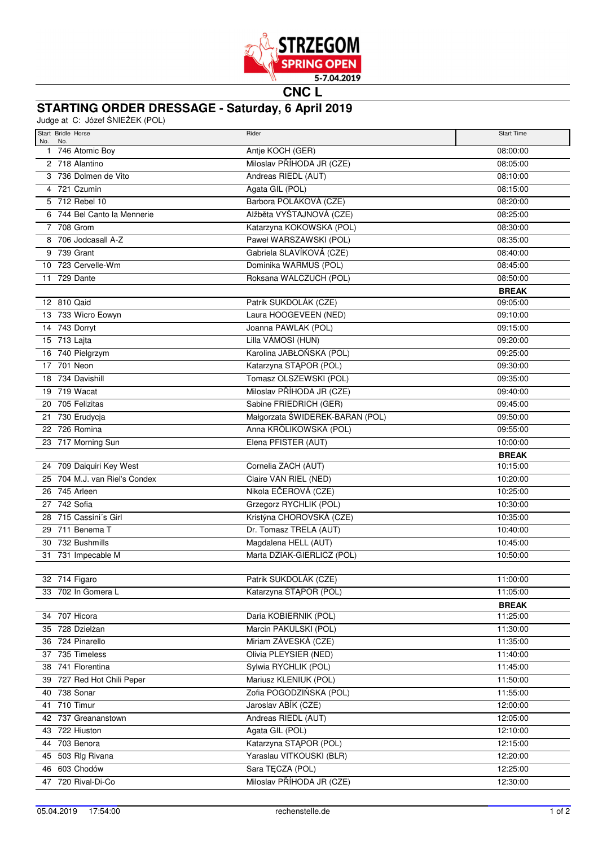

**CNC L**

## **STARTING ORDER DRESSAGE - Saturday, 6 April 2019**

Judge at C: Józef ŚNIEŻEK (POL)

| Start Bridle Horse<br>No. No.      | Rider                                              | <b>Start Time</b>        |
|------------------------------------|----------------------------------------------------|--------------------------|
| 1 746 Atomic Boy                   | Antje KOCH (GER)                                   | 08:00:00                 |
| 2 718 Alantino                     | Miloslav PŘÍHODA JR (CZE)                          | 08:05:00                 |
| 3 736 Dolmen de Vito               | Andreas RIEDL (AUT)                                | 08:10:00                 |
| 4 721 Czumin                       | Agata GIL (POL)                                    | 08:15:00                 |
| 5 712 Rebel 10                     | Barbora POLÁKOVÁ (CZE)                             | 08:20:00                 |
| 6 744 Bel Canto la Mennerie        | Alžběta VYŠTAJNOVÁ (CZE)                           | 08:25:00                 |
| 7 708 Grom                         | Katarzyna KOKOWSKA (POL)                           | 08:30:00                 |
| 8 706 Jodcasall A-Z                | Paweł WARSZAWSKI (POL)                             | 08:35:00                 |
| 9 739 Grant                        | Gabriela SLAVÍKOVÁ (CZE)                           | 08:40:00                 |
| 10 723 Cervelle-Wm                 | Dominika WARMUS (POL)                              | 08:45:00                 |
| 11 729 Dante                       | Roksana WALCZUCH (POL)                             | 08:50:00                 |
|                                    |                                                    | <b>BREAK</b>             |
| 12 810 Qaid                        | Patrik SUKDOLÁK (CZE)                              | 09:05:00                 |
| 13 733 Wicro Eowyn                 | Laura HOOGEVEEN (NED)                              | 09:10:00                 |
| 14 743 Dorryt                      | Joanna PAWLAK (POL)                                | 09:15:00                 |
| 15 713 Lajta                       | Lilla VÁMOSI (HUN)                                 | 09:20:00                 |
| 16 740 Pielgrzym                   | Karolina JABŁOŃSKA (POL)                           | 09:25:00                 |
| 17 701 Neon                        | Katarzyna STĄPOR (POL)                             | 09:30:00                 |
| 18 734 Davishill                   | Tomasz OLSZEWSKI (POL)                             | 09:35:00                 |
| 19 719 Wacat                       | Miloslav PŘÍHODA JR (CZE)                          | 09:40:00                 |
| 20 705 Felizitas                   | Sabine FRIEDRICH (GER)                             | 09:45:00                 |
| 21 730 Erudycja                    | Małgorzata ŚWIDEREK-BARAN (POL)                    | 09:50:00                 |
| 22 726 Romina                      | Anna KRÓLIKOWSKA (POL)                             | 09:55:00                 |
| 23 717 Morning Sun                 | Elena PFISTER (AUT)                                | 10:00:00                 |
| 24 709 Daiquiri Key West           | Cornelia ZACH (AUT)                                | <b>BREAK</b><br>10:15:00 |
| 25 704 M.J. van Riel's Condex      | Claire VAN RIEL (NED)                              | 10:20:00                 |
| 26 745 Arleen                      | Nikola EČEROVÁ (CZE)                               | 10:25:00                 |
| 27 742 Sofia                       | Grzegorz RYCHLIK (POL)                             | 10:30:00                 |
| 28 715 Cassini's Girl              | Kristýna CHOROVSKÁ (CZE)                           | 10:35:00                 |
| 29 711 Benema T                    | Dr. Tomasz TRELA (AUT)                             | 10:40:00                 |
| 30 732 Bushmills                   | Magdalena HELL (AUT)                               | 10:45:00                 |
| 31 731 Impecable M                 | Marta DZIAK-GIERLICZ (POL)                         | 10:50:00                 |
|                                    |                                                    |                          |
| 32 714 Figaro                      | Patrik SUKDOLÁK (CZE)                              | 11:00:00                 |
| 33 702 In Gomera L                 | Katarzyna STĄPOR (POL)                             | 11:05:00                 |
|                                    |                                                    | <b>BREAK</b>             |
| 34 707 Hicora                      | Daria KOBIERNIK (POL)                              | 11:25:00                 |
| 35 728 Dzielżan                    | Marcin PAKULSKI (POL)                              | 11:30:00                 |
| 36 724 Pinarello                   | Miriam ZÁVESKÁ (CZE)                               | 11:35:00                 |
| 37 735 Timeless                    | Olivia PLEYSIER (NED)                              | 11:40:00                 |
| 38 741 Florentina                  | Sylwia RYCHLIK (POL)                               | 11:45:00                 |
| 39 727 Red Hot Chili Peper         | Mariusz KLENIUK (POL)                              | 11:50:00                 |
| 40 738 Sonar                       | Zofia POGODZIŃSKA (POL)                            | 11:55:00                 |
| 41 710 Timur                       | Jaroslav ABÍK (CZE)                                | 12:00:00                 |
| 42 737 Greananstown                | Andreas RIEDL (AUT)                                | 12:05:00                 |
| 43 722 Hiuston                     | Agata GIL (POL)                                    | 12:10:00                 |
| 44 703 Benora                      | Katarzyna STĄPOR (POL)<br>Yaraslau VITKOUSKI (BLR) | 12:15:00                 |
| 45 503 Rlg Rivana<br>46 603 Chodów | Sara TĘCZA (POL)                                   | 12:20:00<br>12:25:00     |
| 47 720 Rival-Di-Co                 | Miloslav PŘÍHODA JR (CZE)                          | 12:30:00                 |
|                                    |                                                    |                          |